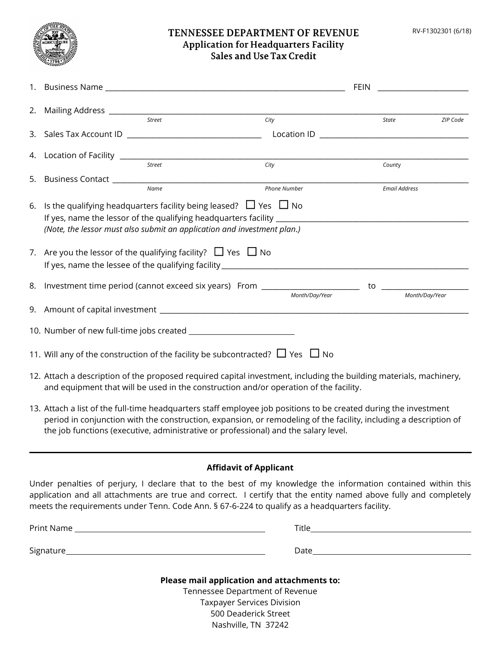RV-F1302301 (6/18)



## TENNESSEE DEPARTMENT OF REVENUE **Application for Headquarters Facility Sales and Use Tax Credit**

|                                                                                                                    |                                                                                                                                                       |        |                | <b>FEIN</b> |                      |
|--------------------------------------------------------------------------------------------------------------------|-------------------------------------------------------------------------------------------------------------------------------------------------------|--------|----------------|-------------|----------------------|
|                                                                                                                    |                                                                                                                                                       |        |                |             |                      |
|                                                                                                                    |                                                                                                                                                       | Street | City           | State       | ZIP Code             |
|                                                                                                                    |                                                                                                                                                       |        |                |             |                      |
|                                                                                                                    |                                                                                                                                                       |        |                |             |                      |
|                                                                                                                    |                                                                                                                                                       | Street | City           |             | County               |
|                                                                                                                    |                                                                                                                                                       |        |                |             |                      |
|                                                                                                                    |                                                                                                                                                       | Name   | Phone Number   |             | <b>Email Address</b> |
| 6.                                                                                                                 | Is the qualifying headquarters facility being leased? $\Box$ Yes $\Box$ No<br>(Note, the lessor must also submit an application and investment plan.) |        |                |             |                      |
|                                                                                                                    | 7. Are you the lessor of the qualifying facility? $\Box$ Yes $\Box$ No                                                                                |        |                |             |                      |
|                                                                                                                    |                                                                                                                                                       |        |                |             |                      |
|                                                                                                                    |                                                                                                                                                       |        | Month/Day/Year |             | Month/Day/Year       |
|                                                                                                                    |                                                                                                                                                       |        |                |             |                      |
|                                                                                                                    |                                                                                                                                                       |        |                |             |                      |
| 11. Will any of the construction of the facility be subcontracted? $\Box$ Yes $\Box$ No                            |                                                                                                                                                       |        |                |             |                      |
| 12. Attach a description of the proposed required capital investment, including the building materials, machinery, |                                                                                                                                                       |        |                |             |                      |

and equipment that will be used in the construction and/or operation of the facility.

13. Attach a list of the full-time headquarters staff employee job positions to be created during the investment period in conjunction with the construction, expansion, or remodeling of the facility, including a description of the job functions (executive, administrative or professional) and the salary level.

## **Affidavit of Applicant**

Under penalties of perjury, I declare that to the best of my knowledge the information contained within this application and all attachments are true and correct. I certify that the entity named above fully and completely meets the requirements under Tenn. Code Ann. § 67-6-224 to qualify as a headquarters facility.

| Please mail application and attachments to: |       |
|---------------------------------------------|-------|
| Signature                                   | Date  |
|                                             |       |
| Print Name                                  | Title |
|                                             |       |

Tennessee Department of Revenue Taxpayer Services Division 500 Deaderick Street Nashville, TN 37242